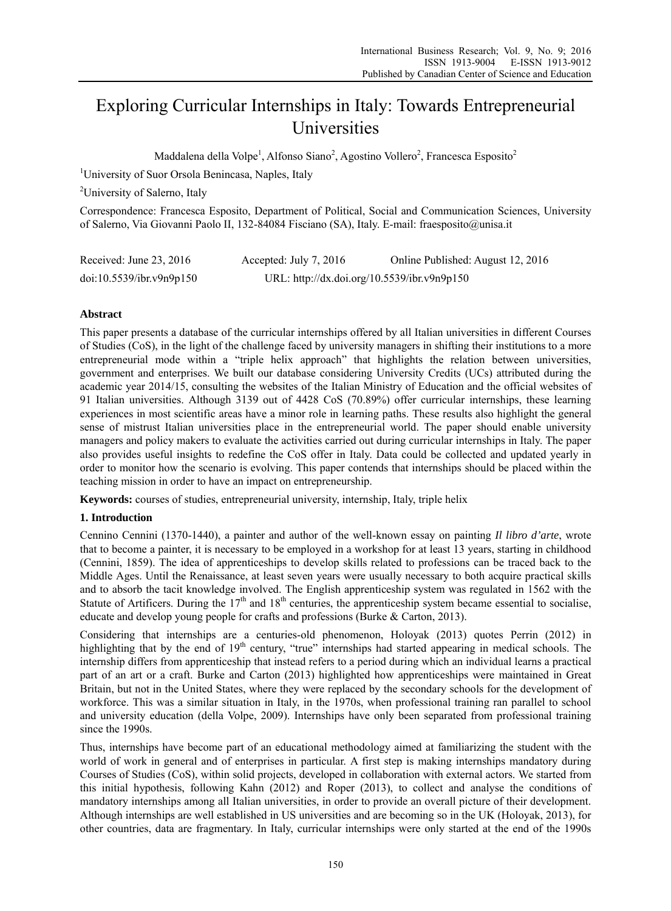# Exploring Curricular Internships in Italy: Towards Entrepreneurial Universities

Maddalena della Volpe<sup>1</sup>, Alfonso Siano<sup>2</sup>, Agostino Vollero<sup>2</sup>, Francesca Esposito<sup>2</sup>

<sup>1</sup>University of Suor Orsola Benincasa, Naples, Italy

<sup>2</sup>University of Salerno, Italy

Correspondence: Francesca Esposito, Department of Political, Social and Communication Sciences, University of Salerno, Via Giovanni Paolo II, 132-84084 Fisciano (SA), Italy. E-mail: fraesposito@unisa.it

| Received: June $23, 2016$ | Accepted: July 7, $2016$                    | Online Published: August 12, 2016 |
|---------------------------|---------------------------------------------|-----------------------------------|
| doi:10.5539/ibr.v9n9p150  | URL: http://dx.doi.org/10.5539/ibr.v9n9p150 |                                   |

# **Abstract**

This paper presents a database of the curricular internships offered by all Italian universities in different Courses of Studies (CoS), in the light of the challenge faced by university managers in shifting their institutions to a more entrepreneurial mode within a "triple helix approach" that highlights the relation between universities, government and enterprises. We built our database considering University Credits (UCs) attributed during the academic year 2014/15, consulting the websites of the Italian Ministry of Education and the official websites of 91 Italian universities. Although 3139 out of 4428 CoS (70.89%) offer curricular internships, these learning experiences in most scientific areas have a minor role in learning paths. These results also highlight the general sense of mistrust Italian universities place in the entrepreneurial world. The paper should enable university managers and policy makers to evaluate the activities carried out during curricular internships in Italy. The paper also provides useful insights to redefine the CoS offer in Italy. Data could be collected and updated yearly in order to monitor how the scenario is evolving. This paper contends that internships should be placed within the teaching mission in order to have an impact on entrepreneurship.

**Keywords:** courses of studies, entrepreneurial university, internship, Italy, triple helix

# **1. Introduction**

Cennino Cennini (1370-1440), a painter and author of the well-known essay on painting *Il libro d'arte*, wrote that to become a painter, it is necessary to be employed in a workshop for at least 13 years, starting in childhood (Cennini, 1859). The idea of apprenticeships to develop skills related to professions can be traced back to the Middle Ages. Until the Renaissance, at least seven years were usually necessary to both acquire practical skills and to absorb the tacit knowledge involved. The English apprenticeship system was regulated in 1562 with the Statute of Artificers. During the  $17<sup>th</sup>$  and  $18<sup>th</sup>$  centuries, the apprenticeship system became essential to socialise, educate and develop young people for crafts and professions (Burke & Carton, 2013).

Considering that internships are a centuries-old phenomenon, Holoyak (2013) quotes Perrin (2012) in highlighting that by the end of  $19<sup>th</sup>$  century, "true" internships had started appearing in medical schools. The internship differs from apprenticeship that instead refers to a period during which an individual learns a practical part of an art or a craft. Burke and Carton (2013) highlighted how apprenticeships were maintained in Great Britain, but not in the United States, where they were replaced by the secondary schools for the development of workforce. This was a similar situation in Italy, in the 1970s, when professional training ran parallel to school and university education (della Volpe, 2009). Internships have only been separated from professional training since the 1990s.

Thus, internships have become part of an educational methodology aimed at familiarizing the student with the world of work in general and of enterprises in particular. A first step is making internships mandatory during Courses of Studies (CoS), within solid projects, developed in collaboration with external actors. We started from this initial hypothesis, following Kahn (2012) and Roper (2013), to collect and analyse the conditions of mandatory internships among all Italian universities, in order to provide an overall picture of their development. Although internships are well established in US universities and are becoming so in the UK (Holoyak, 2013), for other countries, data are fragmentary. In Italy, curricular internships were only started at the end of the 1990s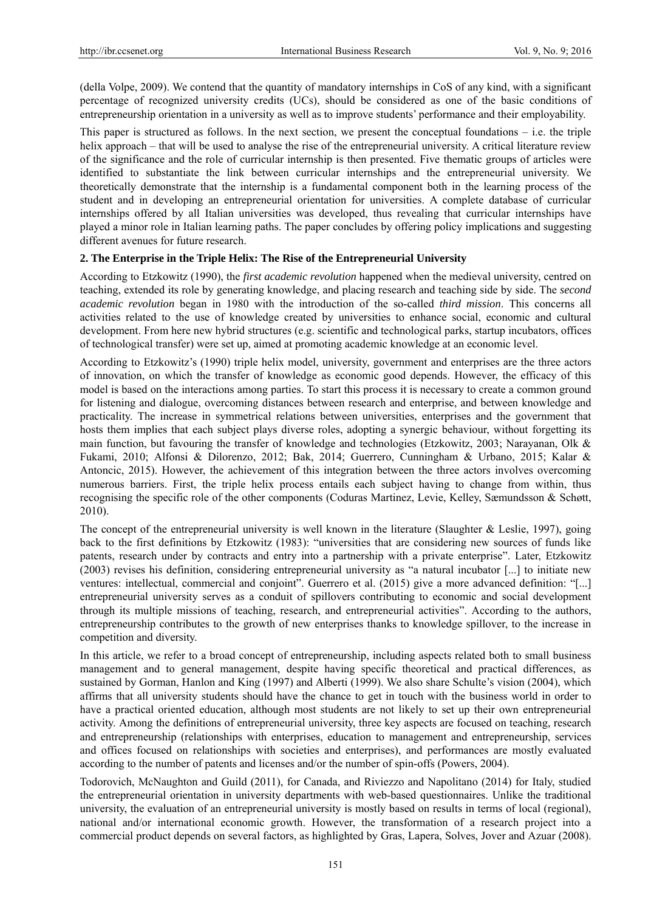(della Volpe, 2009). We contend that the quantity of mandatory internships in CoS of any kind, with a significant percentage of recognized university credits (UCs), should be considered as one of the basic conditions of entrepreneurship orientation in a university as well as to improve students' performance and their employability.

This paper is structured as follows. In the next section, we present the conceptual foundations – i.e. the triple helix approach – that will be used to analyse the rise of the entrepreneurial university. A critical literature review of the significance and the role of curricular internship is then presented. Five thematic groups of articles were identified to substantiate the link between curricular internships and the entrepreneurial university. We theoretically demonstrate that the internship is a fundamental component both in the learning process of the student and in developing an entrepreneurial orientation for universities. A complete database of curricular internships offered by all Italian universities was developed, thus revealing that curricular internships have played a minor role in Italian learning paths. The paper concludes by offering policy implications and suggesting different avenues for future research.

## **2. The Enterprise in the Triple Helix: The Rise of the Entrepreneurial University**

According to Etzkowitz (1990), the *first academic revolution* happened when the medieval university, centred on teaching, extended its role by generating knowledge, and placing research and teaching side by side. The *second academic revolution* began in 1980 with the introduction of the so-called *third mission*. This concerns all activities related to the use of knowledge created by universities to enhance social, economic and cultural development. From here new hybrid structures (e.g. scientific and technological parks, startup incubators, offices of technological transfer) were set up, aimed at promoting academic knowledge at an economic level.

According to Etzkowitz's (1990) triple helix model, university, government and enterprises are the three actors of innovation, on which the transfer of knowledge as economic good depends. However, the efficacy of this model is based on the interactions among parties. To start this process it is necessary to create a common ground for listening and dialogue, overcoming distances between research and enterprise, and between knowledge and practicality. The increase in symmetrical relations between universities, enterprises and the government that hosts them implies that each subject plays diverse roles, adopting a synergic behaviour, without forgetting its main function, but favouring the transfer of knowledge and technologies (Etzkowitz, 2003; Narayanan, Olk & Fukami, 2010; Alfonsi & Dilorenzo, 2012; Bak, 2014; Guerrero, Cunningham & Urbano, 2015; Kalar & Antoncic, 2015). However, the achievement of this integration between the three actors involves overcoming numerous barriers. First, the triple helix process entails each subject having to change from within, thus recognising the specific role of the other components (Coduras Martinez, Levie, Kelley, Sæmundsson & Schøtt, 2010).

The concept of the entrepreneurial university is well known in the literature (Slaughter & Leslie, 1997), going back to the first definitions by Etzkowitz (1983): "universities that are considering new sources of funds like patents, research under by contracts and entry into a partnership with a private enterprise". Later, Etzkowitz (2003) revises his definition, considering entrepreneurial university as "a natural incubator [...] to initiate new ventures: intellectual, commercial and conjoint". Guerrero et al. (2015) give a more advanced definition: "[...] entrepreneurial university serves as a conduit of spillovers contributing to economic and social development through its multiple missions of teaching, research, and entrepreneurial activities". According to the authors, entrepreneurship contributes to the growth of new enterprises thanks to knowledge spillover, to the increase in competition and diversity.

In this article, we refer to a broad concept of entrepreneurship, including aspects related both to small business management and to general management, despite having specific theoretical and practical differences, as sustained by Gorman, Hanlon and King (1997) and Alberti (1999). We also share Schulte's vision (2004), which affirms that all university students should have the chance to get in touch with the business world in order to have a practical oriented education, although most students are not likely to set up their own entrepreneurial activity. Among the definitions of entrepreneurial university, three key aspects are focused on teaching, research and entrepreneurship (relationships with enterprises, education to management and entrepreneurship, services and offices focused on relationships with societies and enterprises), and performances are mostly evaluated according to the number of patents and licenses and/or the number of spin-offs (Powers, 2004).

Todorovich, McNaughton and Guild (2011), for Canada, and Riviezzo and Napolitano (2014) for Italy, studied the entrepreneurial orientation in university departments with web-based questionnaires. Unlike the traditional university, the evaluation of an entrepreneurial university is mostly based on results in terms of local (regional), national and/or international economic growth. However, the transformation of a research project into a commercial product depends on several factors, as highlighted by Gras, Lapera, Solves, Jover and Azuar (2008).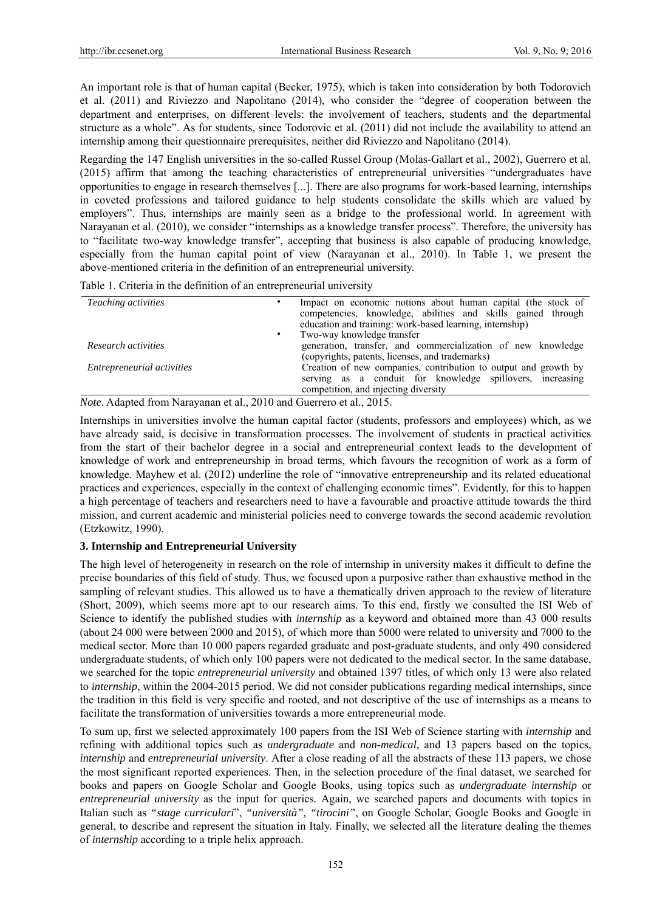An important role is that of human capital (Becker, 1975), which is taken into consideration by both Todorovich et al. (2011) and Riviezzo and Napolitano (2014), who consider the "degree of cooperation between the department and enterprises, on different levels: the involvement of teachers, students and the departmental structure as a whole". As for students, since Todorovic et al. (2011) did not include the availability to attend an internship among their questionnaire prerequisites, neither did Riviezzo and Napolitano (2014).

Regarding the 147 English universities in the so-called Russel Group (Molas-Gallart et al., 2002), Guerrero et al. (2015) affirm that among the teaching characteristics of entrepreneurial universities "undergraduates have opportunities to engage in research themselves [...]. There are also programs for work-based learning, internships in coveted professions and tailored guidance to help students consolidate the skills which are valued by employers". Thus, internships are mainly seen as a bridge to the professional world. In agreement with Narayanan et al. (2010), we consider "internships as a knowledge transfer process". Therefore, the university has to "facilitate two-way knowledge transfer", accepting that business is also capable of producing knowledge, especially from the human capital point of view (Narayanan et al., 2010). In Table 1, we present the above-mentioned criteria in the definition of an entrepreneurial university.

|  |  |  |  | Table 1. Criteria in the definition of an entrepreneurial university |
|--|--|--|--|----------------------------------------------------------------------|
|  |  |  |  |                                                                      |

| <i>Teaching activities</i> | Impact on economic notions about human capital (the stock of<br>competencies, knowledge, abilities and skills gained through<br>education and training: work-based learning, internship) |
|----------------------------|------------------------------------------------------------------------------------------------------------------------------------------------------------------------------------------|
|                            | Two-way knowledge transfer                                                                                                                                                               |
| Research activities        | generation, transfer, and commercialization of new knowledge<br>(copyrights, patents, licenses, and trademarks)                                                                          |
| Entrepreneurial activities | Creation of new companies, contribution to output and growth by<br>serving as a conduit for knowledge spillovers, increasing<br>competition, and injecting diversity                     |

*Note*. Adapted from Narayanan et al., 2010 and Guerrero et al., 2015.

Internships in universities involve the human capital factor (students, professors and employees) which, as we have already said, is decisive in transformation processes. The involvement of students in practical activities from the start of their bachelor degree in a social and entrepreneurial context leads to the development of knowledge of work and entrepreneurship in broad terms, which favours the recognition of work as a form of knowledge. Mayhew et al. (2012) underline the role of "innovative entrepreneurship and its related educational practices and experiences, especially in the context of challenging economic times". Evidently, for this to happen a high percentage of teachers and researchers need to have a favourable and proactive attitude towards the third mission, and current academic and ministerial policies need to converge towards the second academic revolution (Etzkowitz, 1990).

# **3. Internship and Entrepreneurial University**

The high level of heterogeneity in research on the role of internship in university makes it difficult to define the precise boundaries of this field of study. Thus, we focused upon a purposive rather than exhaustive method in the sampling of relevant studies. This allowed us to have a thematically driven approach to the review of literature (Short, 2009), which seems more apt to our research aims. To this end, firstly we consulted the ISI Web of Science to identify the published studies with *internship* as a keyword and obtained more than 43 000 results (about 24 000 were between 2000 and 2015), of which more than 5000 were related to university and 7000 to the medical sector. More than 10 000 papers regarded graduate and post-graduate students, and only 490 considered undergraduate students, of which only 100 papers were not dedicated to the medical sector. In the same database, we searched for the topic *entrepreneurial university* and obtained 1397 titles, of which only 13 were also related to *internship*, within the 2004-2015 period. We did not consider publications regarding medical internships, since the tradition in this field is very specific and rooted, and not descriptive of the use of internships as a means to facilitate the transformation of universities towards a more entrepreneurial mode.

To sum up, first we selected approximately 100 papers from the ISI Web of Science starting with *internship* and refining with additional topics such as *undergraduate* and *non-medical*, and 13 papers based on the topics, *internship* and *entrepreneurial university*. After a close reading of all the abstracts of these 113 papers, we chose the most significant reported experiences. Then, in the selection procedure of the final dataset, we searched for books and papers on Google Scholar and Google Books, using topics such as *undergraduate internship* or *entrepreneurial university* as the input for queries*.* Again, we searched papers and documents with topics in Italian such as *"stage curriculari*", *"università", "tirocini"*, on Google Scholar, Google Books and Google in general, to describe and represent the situation in Italy. Finally, we selected all the literature dealing the themes of *internship* according to a triple helix approach.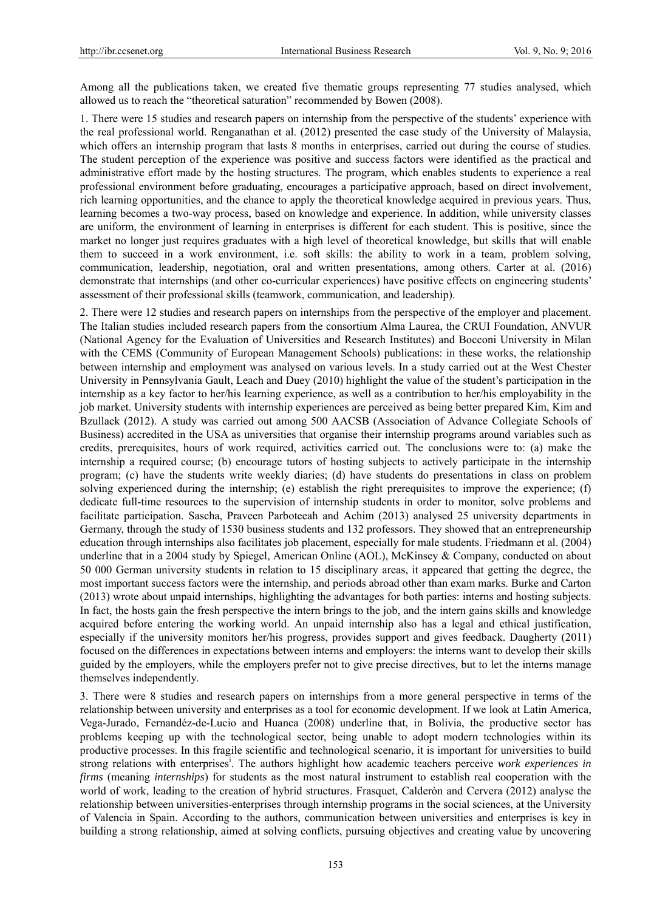Among all the publications taken, we created five thematic groups representing 77 studies analysed, which allowed us to reach the "theoretical saturation" recommended by Bowen (2008).

1. There were 15 studies and research papers on internship from the perspective of the students' experience with the real professional world. Renganathan et al. (2012) presented the case study of the University of Malaysia, which offers an internship program that lasts 8 months in enterprises, carried out during the course of studies. The student perception of the experience was positive and success factors were identified as the practical and administrative effort made by the hosting structures. The program, which enables students to experience a real professional environment before graduating, encourages a participative approach, based on direct involvement, rich learning opportunities, and the chance to apply the theoretical knowledge acquired in previous years. Thus, learning becomes a two-way process, based on knowledge and experience. In addition, while university classes are uniform, the environment of learning in enterprises is different for each student. This is positive, since the market no longer just requires graduates with a high level of theoretical knowledge, but skills that will enable them to succeed in a work environment, i.e. soft skills: the ability to work in a team, problem solving, communication, leadership, negotiation, oral and written presentations, among others. Carter at al. (2016) demonstrate that internships (and other co-curricular experiences) have positive effects on engineering students' assessment of their professional skills (teamwork, communication, and leadership).

2. There were 12 studies and research papers on internships from the perspective of the employer and placement. The Italian studies included research papers from the consortium Alma Laurea, the CRUI Foundation, ANVUR (National Agency for the Evaluation of Universities and Research Institutes) and Bocconi University in Milan with the CEMS (Community of European Management Schools) publications: in these works, the relationship between internship and employment was analysed on various levels. In a study carried out at the West Chester University in Pennsylvania Gault, Leach and Duey (2010) highlight the value of the student's participation in the internship as a key factor to her/his learning experience, as well as a contribution to her/his employability in the job market. University students with internship experiences are perceived as being better prepared Kim, Kim and Bzullack (2012). A study was carried out among 500 AACSB (Association of Advance Collegiate Schools of Business) accredited in the USA as universities that organise their internship programs around variables such as credits, prerequisites, hours of work required, activities carried out. The conclusions were to: (a) make the internship a required course; (b) encourage tutors of hosting subjects to actively participate in the internship program; (c) have the students write weekly diaries; (d) have students do presentations in class on problem solving experienced during the internship; (e) establish the right prerequisites to improve the experience; (f) dedicate full-time resources to the supervision of internship students in order to monitor, solve problems and facilitate participation. Sascha, Praveen Parboteeah and Achim (2013) analysed 25 university departments in Germany, through the study of 1530 business students and 132 professors. They showed that an entrepreneurship education through internships also facilitates job placement, especially for male students. Friedmann et al. (2004) underline that in a 2004 study by Spiegel, American Online (AOL), McKinsey & Company, conducted on about 50 000 German university students in relation to 15 disciplinary areas, it appeared that getting the degree, the most important success factors were the internship, and periods abroad other than exam marks. Burke and Carton (2013) wrote about unpaid internships, highlighting the advantages for both parties: interns and hosting subjects. In fact, the hosts gain the fresh perspective the intern brings to the job, and the intern gains skills and knowledge acquired before entering the working world. An unpaid internship also has a legal and ethical justification, especially if the university monitors her/his progress, provides support and gives feedback. Daugherty (2011) focused on the differences in expectations between interns and employers: the interns want to develop their skills guided by the employers, while the employers prefer not to give precise directives, but to let the interns manage themselves independently.

3. There were 8 studies and research papers on internships from a more general perspective in terms of the relationship between university and enterprises as a tool for economic development. If we look at Latin America, Vega-Jurado, Fernandéz-de-Lucio and Huanca (2008) underline that, in Bolivia, the productive sector has problems keeping up with the technological sector, being unable to adopt modern technologies within its productive processes. In this fragile scientific and technological scenario, it is important for universities to build strong relations with enterprises<sup>i</sup>. The authors highlight how academic teachers perceive *work experiences in firms* (meaning *internships*) for students as the most natural instrument to establish real cooperation with the world of work, leading to the creation of hybrid structures. Frasquet, Calderòn and Cervera (2012) analyse the relationship between universities-enterprises through internship programs in the social sciences, at the University of Valencia in Spain. According to the authors, communication between universities and enterprises is key in building a strong relationship, aimed at solving conflicts, pursuing objectives and creating value by uncovering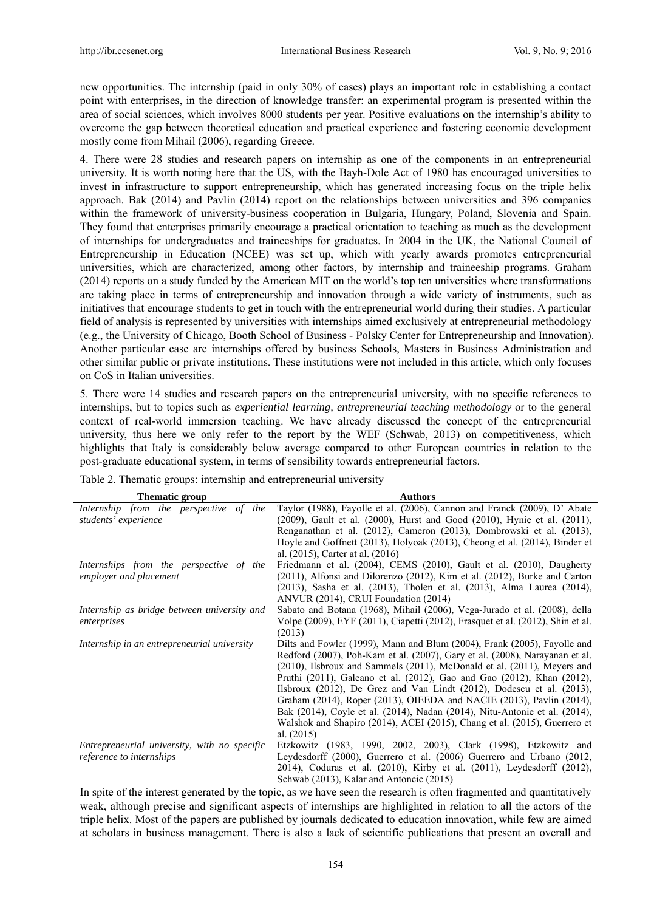new opportunities. The internship (paid in only 30% of cases) plays an important role in establishing a contact point with enterprises, in the direction of knowledge transfer: an experimental program is presented within the area of social sciences, which involves 8000 students per year. Positive evaluations on the internship's ability to overcome the gap between theoretical education and practical experience and fostering economic development mostly come from Mihail (2006), regarding Greece.

4. There were 28 studies and research papers on internship as one of the components in an entrepreneurial university. It is worth noting here that the US, with the Bayh-Dole Act of 1980 has encouraged universities to invest in infrastructure to support entrepreneurship, which has generated increasing focus on the triple helix approach. Bak (2014) and Pavlin (2014) report on the relationships between universities and 396 companies within the framework of university-business cooperation in Bulgaria, Hungary, Poland, Slovenia and Spain. They found that enterprises primarily encourage a practical orientation to teaching as much as the development of internships for undergraduates and traineeships for graduates. In 2004 in the UK, the National Council of Entrepreneurship in Education (NCEE) was set up, which with yearly awards promotes entrepreneurial universities, which are characterized, among other factors, by internship and traineeship programs. Graham (2014) reports on a study funded by the American MIT on the world's top ten universities where transformations are taking place in terms of entrepreneurship and innovation through a wide variety of instruments, such as initiatives that encourage students to get in touch with the entrepreneurial world during their studies. A particular field of analysis is represented by universities with internships aimed exclusively at entrepreneurial methodology (e.g., the University of Chicago, Booth School of Business - Polsky Center for Entrepreneurship and Innovation). Another particular case are internships offered by business Schools, Masters in Business Administration and other similar public or private institutions. These institutions were not included in this article, which only focuses on CoS in Italian universities.

5. There were 14 studies and research papers on the entrepreneurial university, with no specific references to internships, but to topics such as *experiential learning, entrepreneurial teaching methodology* or to the general context of real-world immersion teaching. We have already discussed the concept of the entrepreneurial university, thus here we only refer to the report by the WEF (Schwab, 2013) on competitiveness, which highlights that Italy is considerably below average compared to other European countries in relation to the post-graduate educational system, in terms of sensibility towards entrepreneurial factors.

| Thematic group                               | <b>Authors</b>                                                                   |
|----------------------------------------------|----------------------------------------------------------------------------------|
| Internship from the perspective of the       | Taylor (1988), Fayolle et al. (2006), Cannon and Franck (2009), D' Abate         |
| students' experience                         | (2009), Gault et al. (2000), Hurst and Good (2010), Hynie et al. (2011),         |
|                                              | Renganathan et al. (2012), Cameron (2013), Dombrowski et al. (2013),             |
|                                              | Hoyle and Goffnett (2013), Holyoak (2013), Cheong et al. (2014), Binder et       |
|                                              | al. (2015), Carter at al. (2016)                                                 |
| Internships from the perspective of the      | Friedmann et al. (2004), CEMS (2010), Gault et al. (2010), Daugherty             |
| employer and placement                       | (2011), Alfonsi and Dilorenzo (2012), Kim et al. (2012), Burke and Carton        |
|                                              | (2013), Sasha et al. (2013), Tholen et al. (2013), Alma Laurea (2014),           |
|                                              | ANVUR (2014), CRUI Foundation (2014)                                             |
| Internship as bridge between university and  | Sabato and Botana (1968), Mihail (2006), Vega-Jurado et al. (2008), della        |
| enterprises                                  | Volpe (2009), EYF (2011), Ciapetti (2012), Frasquet et al. (2012), Shin et al.   |
|                                              | (2013)                                                                           |
| Internship in an entrepreneurial university  | Dilts and Fowler (1999), Mann and Blum (2004), Frank (2005), Fayolle and         |
|                                              | Redford (2007), Poh-Kam et al. (2007), Gary et al. (2008), Narayanan et al.      |
|                                              | $(2010)$ , Ilsbroux and Sammels $(2011)$ , McDonald et al. $(2011)$ , Meyers and |
|                                              | Pruthi (2011), Galeano et al. (2012), Gao and Gao (2012), Khan (2012),           |
|                                              | Ilsbroux $(2012)$ , De Grez and Van Lindt $(2012)$ , Dodescu et al. $(2013)$ ,   |
|                                              | Graham (2014), Roper (2013), OIEEDA and NACIE (2013), Pavlin (2014),             |
|                                              | Bak (2014), Coyle et al. (2014), Nadan (2014), Nitu-Antonie et al. (2014),       |
|                                              | Walshok and Shapiro (2014), ACEI (2015), Chang et al. (2015), Guerrero et        |
|                                              | al. $(2015)$                                                                     |
| Entrepreneurial university, with no specific | Etzkowitz (1983, 1990, 2002, 2003), Clark (1998), Etzkowitz and                  |
| reference to internships                     | Leydesdorff (2000), Guerrero et al. (2006) Guerrero and Urbano (2012,            |
|                                              | 2014), Coduras et al. $(2010)$ , Kirby et al. $(2011)$ , Leydesdorff $(2012)$ ,  |
|                                              | Schwab (2013), Kalar and Antoncic (2015)                                         |

Table 2. Thematic groups: internship and entrepreneurial university

In spite of the interest generated by the topic, as we have seen the research is often fragmented and quantitatively weak, although precise and significant aspects of internships are highlighted in relation to all the actors of the triple helix. Most of the papers are published by journals dedicated to education innovation, while few are aimed at scholars in business management. There is also a lack of scientific publications that present an overall and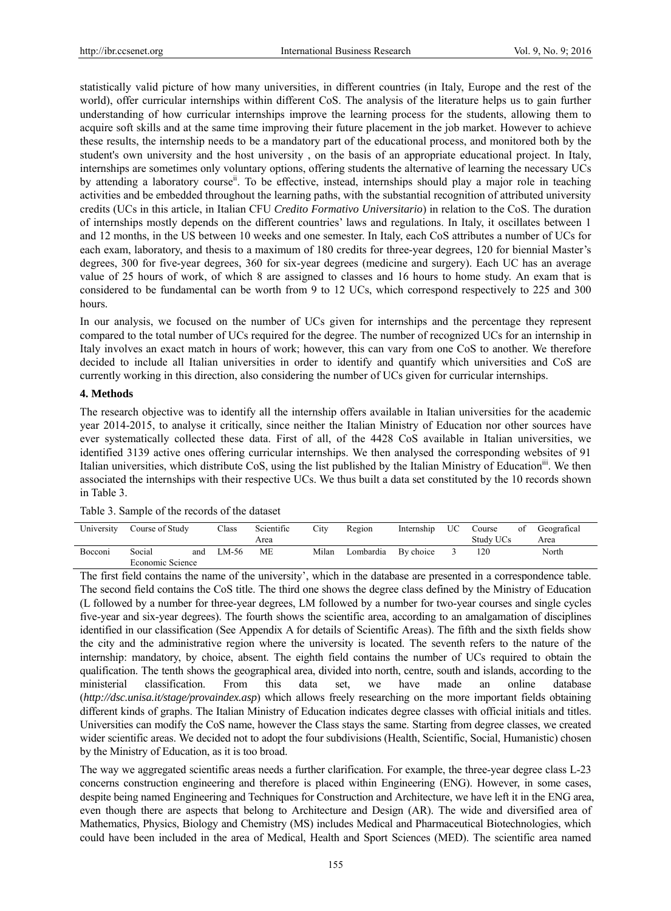statistically valid picture of how many universities, in different countries (in Italy, Europe and the rest of the world), offer curricular internships within different CoS. The analysis of the literature helps us to gain further understanding of how curricular internships improve the learning process for the students, allowing them to acquire soft skills and at the same time improving their future placement in the job market. However to achieve these results, the internship needs to be a mandatory part of the educational process, and monitored both by the student's own university and the host university , on the basis of an appropriate educational project. In Italy, internships are sometimes only voluntary options, offering students the alternative of learning the necessary UCs by attending a laboratory course<sup>ii</sup>. To be effective, instead, internships should play a major role in teaching activities and be embedded throughout the learning paths, with the substantial recognition of attributed university credits (UCs in this article, in Italian CFU *Credito Formativo Universitario*) in relation to the CoS. The duration of internships mostly depends on the different countries' laws and regulations. In Italy, it oscillates between 1 and 12 months, in the US between 10 weeks and one semester. In Italy, each CoS attributes a number of UCs for each exam, laboratory, and thesis to a maximum of 180 credits for three-year degrees, 120 for biennial Master's degrees, 300 for five-year degrees, 360 for six-year degrees (medicine and surgery). Each UC has an average value of 25 hours of work, of which 8 are assigned to classes and 16 hours to home study. An exam that is considered to be fundamental can be worth from 9 to 12 UCs, which correspond respectively to 225 and 300 hours.

In our analysis, we focused on the number of UCs given for internships and the percentage they represent compared to the total number of UCs required for the degree. The number of recognized UCs for an internship in Italy involves an exact match in hours of work; however, this can vary from one CoS to another. We therefore decided to include all Italian universities in order to identify and quantify which universities and CoS are currently working in this direction, also considering the number of UCs given for curricular internships.

#### **4. Methods**

The research objective was to identify all the internship offers available in Italian universities for the academic year 2014-2015, to analyse it critically, since neither the Italian Ministry of Education nor other sources have ever systematically collected these data. First of all, of the 4428 CoS available in Italian universities, we identified 3139 active ones offering curricular internships. We then analysed the corresponding websites of 91 Italian universities, which distribute CoS, using the list published by the Italian Ministry of Education<sup>II1</sup>. We then associated the internships with their respective UCs. We thus built a data set constituted by the 10 records shown in Table 3.

| University | Course of Study  |     | Class | Scientific | City  | Region    | Internship | UC. | Course    | of | Geografical |
|------------|------------------|-----|-------|------------|-------|-----------|------------|-----|-----------|----|-------------|
|            |                  |     |       | Area       |       |           |            |     | Study UCs |    | Area        |
| Bocconi    | Social           | and | LM-56 | МE         | Milan | Lombardia | By choice  |     | 120       |    | North       |
|            | Economic Science |     |       |            |       |           |            |     |           |    |             |

Table 3. Sample of the records of the dataset

The first field contains the name of the university', which in the database are presented in a correspondence table. The second field contains the CoS title. The third one shows the degree class defined by the Ministry of Education (L followed by a number for three-year degrees, LM followed by a number for two-year courses and single cycles five-year and six-year degrees). The fourth shows the scientific area, according to an amalgamation of disciplines identified in our classification (See Appendix A for details of Scientific Areas). The fifth and the sixth fields show the city and the administrative region where the university is located. The seventh refers to the nature of the internship: mandatory, by choice, absent. The eighth field contains the number of UCs required to obtain the qualification. The tenth shows the geographical area, divided into north, centre, south and islands, according to the ministerial classification. From this data set, we have made an online database (*http://dsc.unisa.it/stage/provaindex.asp*) which allows freely researching on the more important fields obtaining different kinds of graphs. The Italian Ministry of Education indicates degree classes with official initials and titles. Universities can modify the CoS name, however the Class stays the same. Starting from degree classes, we created wider scientific areas. We decided not to adopt the four subdivisions (Health, Scientific, Social, Humanistic) chosen by the Ministry of Education, as it is too broad.

The way we aggregated scientific areas needs a further clarification. For example, the three-year degree class L-23 concerns construction engineering and therefore is placed within Engineering (ENG). However, in some cases, despite being named Engineering and Techniques for Construction and Architecture, we have left it in the ENG area, even though there are aspects that belong to Architecture and Design (AR). The wide and diversified area of Mathematics, Physics, Biology and Chemistry (MS) includes Medical and Pharmaceutical Biotechnologies, which could have been included in the area of Medical, Health and Sport Sciences (MED). The scientific area named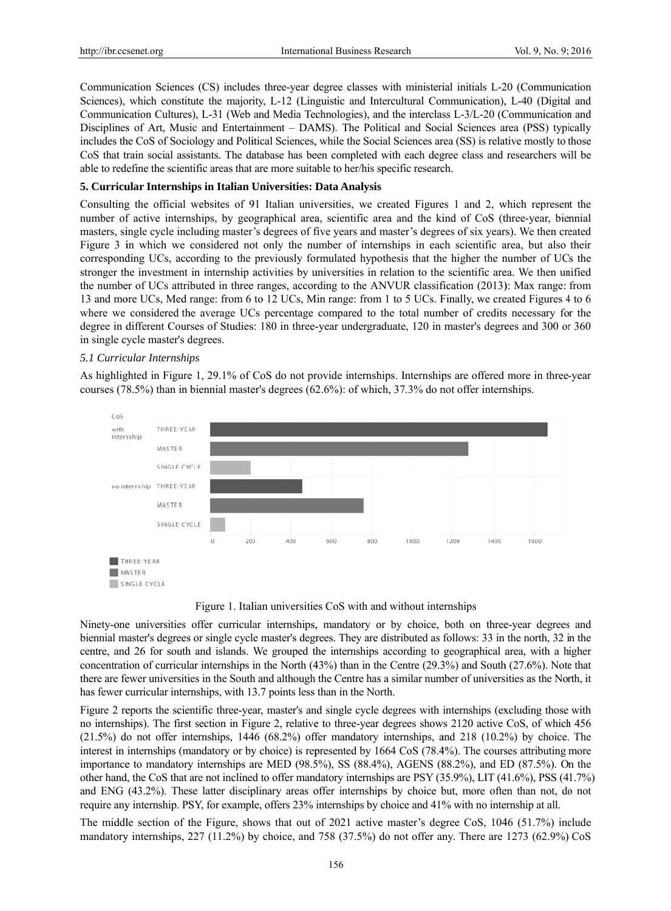Communication Sciences (CS) includes three-year degree classes with ministerial initials L-20 (Communication Sciences), which constitute the majority, L-12 (Linguistic and Intercultural Communication), L-40 (Digital and Communication Cultures), L-31 (Web and Media Technologies), and the interclass L-3/L-20 (Communication and Disciplines of Art, Music and Entertainment - DAMS). The Political and Social Sciences area (PSS) typically includes the CoS of Sociology and Political Sciences, while the Social Sciences area (SS) is relative mostly to those CoS that train social assistants. The database has been completed with each degree class and researchers will be able to redefine the scientific areas that are more suitable to her/his specific research.

### 5. Curricular Internships in Italian Universities: Data Analysis

Consulting the official websites of 91 Italian universities, we created Figures 1 and 2, which represent the number of active internships, by geographical area, scientific area and the kind of CoS (three-year, biennial masters, single cycle including master's degrees of five years and master's degrees of six years). We then created Figure 3 in which we considered not only the number of internships in each scientific area, but also their corresponding UCs, according to the previously formulated hypothesis that the higher the number of UCs the stronger the investment in internship activities by universities in relation to the scientific area. We then unified the number of UCs attributed in three ranges, according to the ANVUR classification (2013): Max range: from 13 and more UCs, Med range: from 6 to 12 UCs, Min range: from 1 to 5 UCs. Finally, we created Figures 4 to 6 where we considered the average UCs percentage compared to the total number of credits necessary for the degree in different Courses of Studies: 180 in three-year undergraduate, 120 in master's degrees and 300 or 360 in single cycle master's degrees.

#### 5.1 Curricular Internships

As highlighted in Figure 1, 29.1% of CoS do not provide internships. Internships are offered more in three-year courses  $(78.5%)$  than in biennial master's degrees  $(62.6%)$ : of which, 37.3% do not offer internships.



Figure 1. Italian universities CoS with and without internships

Ninety-one universities offer curricular internships, mandatory or by choice, both on three-year degrees and biennial master's degrees or single cycle master's degrees. They are distributed as follows: 33 in the north, 32 in the centre, and 26 for south and islands. We grouped the internships according to geographical area, with a higher concentration of curricular internships in the North (43%) than in the Centre (29.3%) and South (27.6%). Note that there are fewer universities in the South and although the Centre has a similar number of universities as the North, it has fewer curricular internships, with 13.7 points less than in the North.

Figure 2 reports the scientific three-year, master's and single cycle degrees with internships (excluding those with no internships). The first section in Figure 2, relative to three-year degrees shows 2120 active CoS, of which 456  $(21.5%)$  do not offer internships, 1446 (68.2%) offer mandatory internships, and 218 (10.2%) by choice. The interest in internships (mandatory or by choice) is represented by 1664 CoS (78.4%). The courses attributing more importance to mandatory internships are MED  $(98.5\%)$ , SS  $(88.4\%)$ , AGENS  $(88.2\%)$ , and ED  $(87.5\%)$ . On the other hand, the CoS that are not inclined to offer mandatory internships are PSY (35.9%), LIT (41.6%), PSS (41.7%) and ENG (43.2%). These latter disciplinary areas offer internships by choice but, more often than not, do not require any internship. PSY, for example, offers 23% internships by choice and 41% with no internship at all.

The middle section of the Figure, shows that out of 2021 active master's degree CoS, 1046 (51.7%) include mandatory internships, 227 (11.2%) by choice, and 758 (37.5%) do not offer any. There are 1273 (62.9%) CoS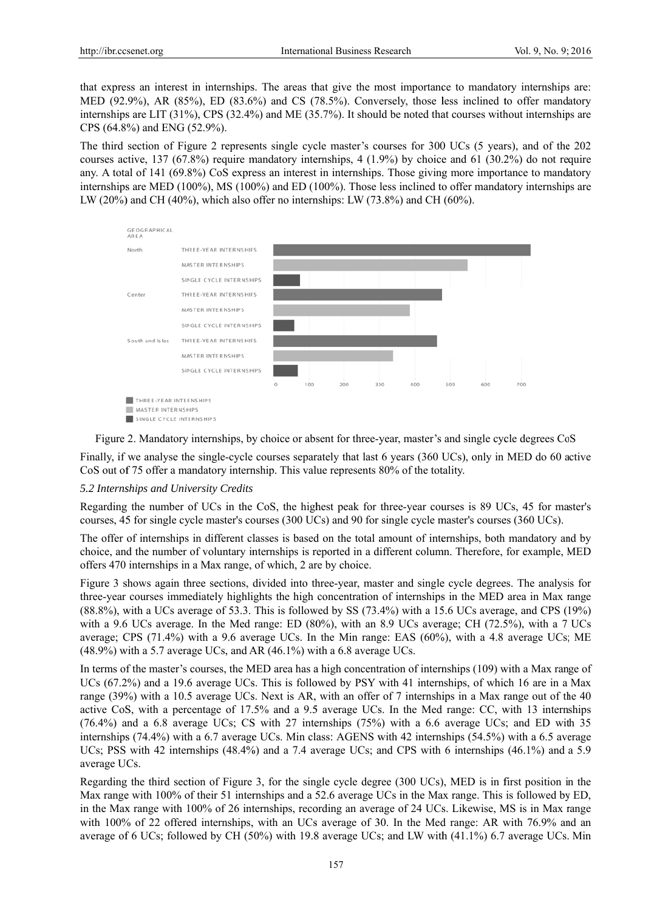that express an interest in internships. The areas that give the most importance to mandatory internships are: MED (92.9%), AR (85%), ED (83.6%) and CS (78.5%). Conversely, those less inclined to offer mandatory internships are LIT  $(31\%)$ , CPS  $(32.4\%)$  and ME  $(35.7\%)$ . It should be noted that courses without internships are CPS (64.8%) and ENG (52.9%).

The third section of Figure 2 represents single cycle master's courses for 300 UCs (5 years), and of the 202 courses active, 137 (67.8%) require mandatory internships, 4 (1.9%) by choice and 61 (30.2%) do not require any. A total of 141 (69.8%) CoS express an interest in internships. Those giving more importance to mandatory internships are MED (100%), MS (100%) and ED (100%). Those less inclined to offer mandatory internships are LW (20%) and CH (40%), which also offer no internships: LW (73.8%) and CH (60%).



Figure 2. Mandatory internships, by choice or absent for three-year, master's and single cycle degrees CoS Finally, if we analyse the single-cycle courses separately that last 6 years (360 UCs), only in MED do 60 active CoS out of 75 offer a mandatory internship. This value represents 80% of the totality.

# 5.2 Internships and University Credits

Regarding the number of UCs in the CoS, the highest peak for three-year courses is 89 UCs, 45 for master's courses, 45 for single cycle master's courses (300 UCs) and 90 for single cycle master's courses (360 UCs).

The offer of internships in different classes is based on the total amount of internships, both mandatory and by choice, and the number of voluntary internships is reported in a different column. Therefore, for example, MED offers 470 internships in a Max range, of which, 2 are by choice.

Figure 3 shows again three sections, divided into three-year, master and single cycle degrees. The analysis for three-year courses immediately highlights the high concentration of internships in the MED area in Max range  $(88.8\%)$ , with a UCs average of 53.3. This is followed by SS  $(73.4\%)$  with a 15.6 UCs average, and CPS  $(19\%)$ with a 9.6 UCs average. In the Med range: ED (80%), with an 8.9 UCs average; CH (72.5%), with a 7 UCs average; CPS (71.4%) with a 9.6 average UCs. In the Min range: EAS (60%), with a 4.8 average UCs; ME  $(48.9\%)$  with a 5.7 average UCs, and AR  $(46.1\%)$  with a 6.8 average UCs.

In terms of the master's courses, the MED area has a high concentration of internships (109) with a Max range of UCs (67.2%) and a 19.6 average UCs. This is followed by PSY with 41 internships, of which 16 are in a Max range (39%) with a 10.5 average UCs. Next is AR, with an offer of 7 internships in a Max range out of the 40 active CoS, with a percentage of 17.5% and a 9.5 average UCs. In the Med range: CC, with 13 internships (76.4%) and a 6.8 average UCs; CS with 27 internships (75%) with a 6.6 average UCs; and ED with 35 internships (74.4%) with a 6.7 average UCs. Min class: AGENS with 42 internships (54.5%) with a 6.5 average UCs; PSS with 42 internships (48.4%) and a 7.4 average UCs; and CPS with 6 internships (46.1%) and a 5.9 average UCs.

Regarding the third section of Figure 3, for the single cycle degree (300 UCs), MED is in first position in the Max range with 100% of their 51 internships and a 52.6 average UCs in the Max range. This is followed by ED, in the Max range with 100% of 26 internships, recording an average of 24 UCs. Likewise, MS is in Max range with 100% of 22 offered internships, with an UCs average of 30. In the Med range: AR with 76.9% and an average of 6 UCs; followed by CH (50%) with 19.8 average UCs; and LW with (41.1%) 6.7 average UCs. Min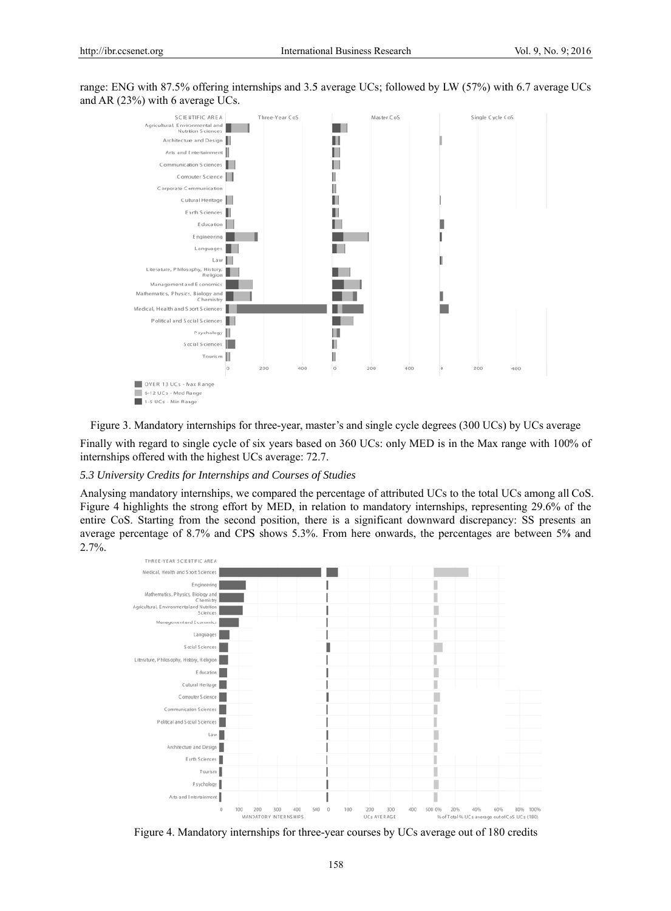range: ENG with 87.5% offering internships and 3.5 average UCs; followed by LW (57%) with 6.7 average UCs and AR (23%) with 6 average UCs.



Figure 3. Mandatory internships for three-year, master's and single cycle degrees (300 UCs) by UCs average Finally with regard to single cycle of six years based on 360 UCs; only MED is in the Max range with 100% of internships offered with the highest UCs average: 72.7.

#### 5.3 University Credits for Internships and Courses of Studies

Analysing mandatory internships, we compared the percentage of attributed UCs to the total UCs among all CoS. Figure 4 highlights the strong effort by MED, in relation to mandatory internships, representing 29.6% of the entire CoS. Starting from the second position, there is a significant downward discrepancy: SS presents an average percentage of 8.7% and CPS shows 5.3%. From here onwards, the percentages are between 5% and  $2.7\%$ .



Figure 4. Mandatory internships for three-year courses by UCs average out of 180 credits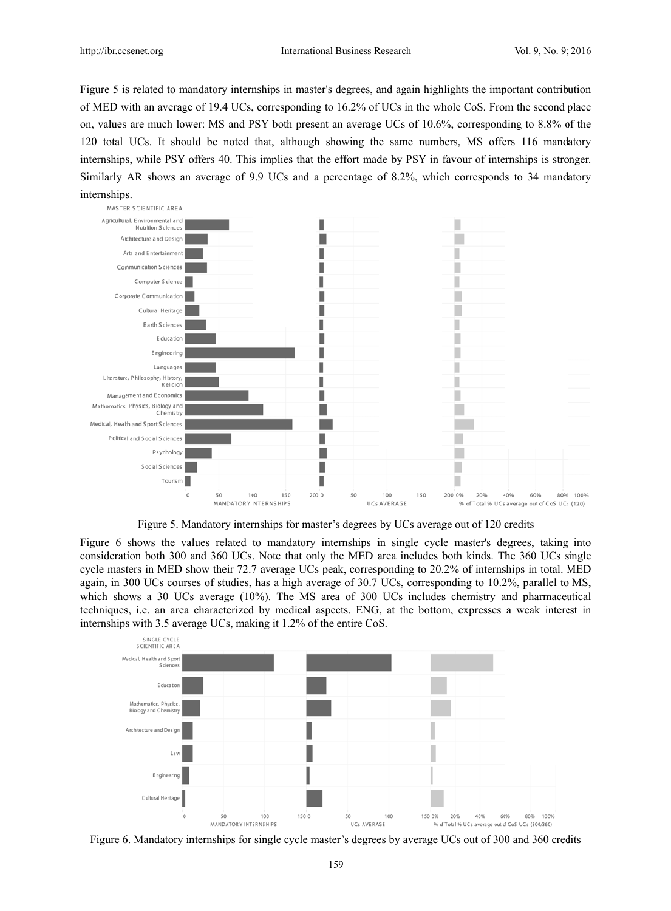Figure 5 is related to mandatory internships in master's degrees, and again highlights the important contribution of MED with an average of 19.4 UCs, corresponding to 16.2% of UCs in the whole CoS. From the second place on, values are much lower: MS and PSY both present an average UCs of 10.6%, corresponding to 8.8% of the 120 total UCs. It should be noted that, although showing the same numbers, MS offers 116 mandatory internships, while PSY offers 40. This implies that the effort made by PSY in favour of internships is stronger. Similarly AR shows an average of 9.9 UCs and a percentage of 8.2%, which corresponds to 34 mandatory internships.



Figure 5. Mandatory internships for master's degrees by UCs average out of 120 credits

Figure 6 shows the values related to mandatory internships in single cycle master's degrees, taking into consideration both 300 and 360 UCs. Note that only the MED area includes both kinds. The 360 UCs single cycle masters in MED show their 72.7 average UCs peak, corresponding to 20.2% of internships in total. MED again, in 300 UCs courses of studies, has a high average of 30.7 UCs, corresponding to 10.2%, parallel to MS, which shows a 30 UCs average  $(10\%)$ . The MS area of 300 UCs includes chemistry and pharmaceutical techniques, i.e. an area characterized by medical aspects. ENG, at the bottom, expresses a weak interest in internships with 3.5 average UCs, making it 1.2% of the entire CoS.



Figure 6. Mandatory internships for single cycle master's degrees by average UCs out of 300 and 360 credits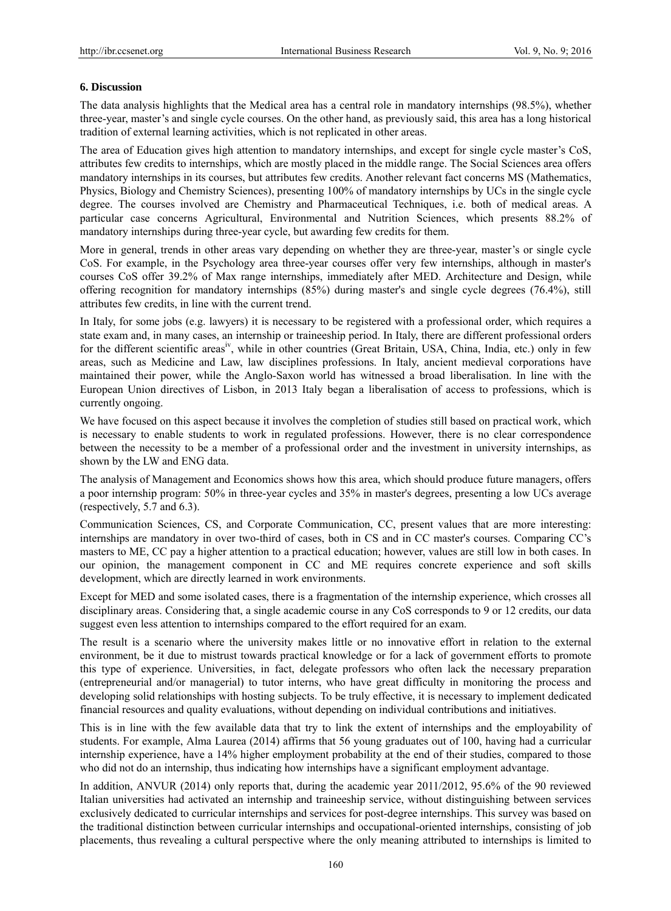#### **6. Discussion**

The data analysis highlights that the Medical area has a central role in mandatory internships (98.5%), whether three-year, master's and single cycle courses. On the other hand, as previously said, this area has a long historical tradition of external learning activities, which is not replicated in other areas.

The area of Education gives high attention to mandatory internships, and except for single cycle master's CoS, attributes few credits to internships, which are mostly placed in the middle range. The Social Sciences area offers mandatory internships in its courses, but attributes few credits. Another relevant fact concerns MS (Mathematics, Physics, Biology and Chemistry Sciences), presenting 100% of mandatory internships by UCs in the single cycle degree. The courses involved are Chemistry and Pharmaceutical Techniques, i.e. both of medical areas. A particular case concerns Agricultural, Environmental and Nutrition Sciences, which presents 88.2% of mandatory internships during three-year cycle, but awarding few credits for them.

More in general, trends in other areas vary depending on whether they are three-year, master's or single cycle CoS. For example, in the Psychology area three-year courses offer very few internships, although in master's courses CoS offer 39.2% of Max range internships, immediately after MED. Architecture and Design, while offering recognition for mandatory internships (85%) during master's and single cycle degrees (76.4%), still attributes few credits, in line with the current trend.

In Italy, for some jobs (e.g. lawyers) it is necessary to be registered with a professional order, which requires a state exam and, in many cases, an internship or traineeship period. In Italy, there are different professional orders for the different scientific areas<sup>iv</sup>, while in other countries (Great Britain, USA, China, India, etc.) only in few areas, such as Medicine and Law, law disciplines professions. In Italy, ancient medieval corporations have maintained their power, while the Anglo-Saxon world has witnessed a broad liberalisation. In line with the European Union directives of Lisbon, in 2013 Italy began a liberalisation of access to professions, which is currently ongoing.

We have focused on this aspect because it involves the completion of studies still based on practical work, which is necessary to enable students to work in regulated professions. However, there is no clear correspondence between the necessity to be a member of a professional order and the investment in university internships, as shown by the LW and ENG data.

The analysis of Management and Economics shows how this area, which should produce future managers, offers a poor internship program: 50% in three-year cycles and 35% in master's degrees, presenting a low UCs average (respectively, 5.7 and 6.3).

Communication Sciences, CS, and Corporate Communication, CC, present values that are more interesting: internships are mandatory in over two-third of cases, both in CS and in CC master's courses. Comparing CC's masters to ME, CC pay a higher attention to a practical education; however, values are still low in both cases. In our opinion, the management component in CC and ME requires concrete experience and soft skills development, which are directly learned in work environments.

Except for MED and some isolated cases, there is a fragmentation of the internship experience, which crosses all disciplinary areas. Considering that, a single academic course in any CoS corresponds to 9 or 12 credits, our data suggest even less attention to internships compared to the effort required for an exam.

The result is a scenario where the university makes little or no innovative effort in relation to the external environment, be it due to mistrust towards practical knowledge or for a lack of government efforts to promote this type of experience. Universities, in fact, delegate professors who often lack the necessary preparation (entrepreneurial and/or managerial) to tutor interns, who have great difficulty in monitoring the process and developing solid relationships with hosting subjects. To be truly effective, it is necessary to implement dedicated financial resources and quality evaluations, without depending on individual contributions and initiatives.

This is in line with the few available data that try to link the extent of internships and the employability of students. For example, Alma Laurea (2014) affirms that 56 young graduates out of 100, having had a curricular internship experience, have a 14% higher employment probability at the end of their studies, compared to those who did not do an internship, thus indicating how internships have a significant employment advantage.

In addition, ANVUR (2014) only reports that, during the academic year 2011/2012, 95.6% of the 90 reviewed Italian universities had activated an internship and traineeship service, without distinguishing between services exclusively dedicated to curricular internships and services for post-degree internships. This survey was based on the traditional distinction between curricular internships and occupational-oriented internships, consisting of job placements, thus revealing a cultural perspective where the only meaning attributed to internships is limited to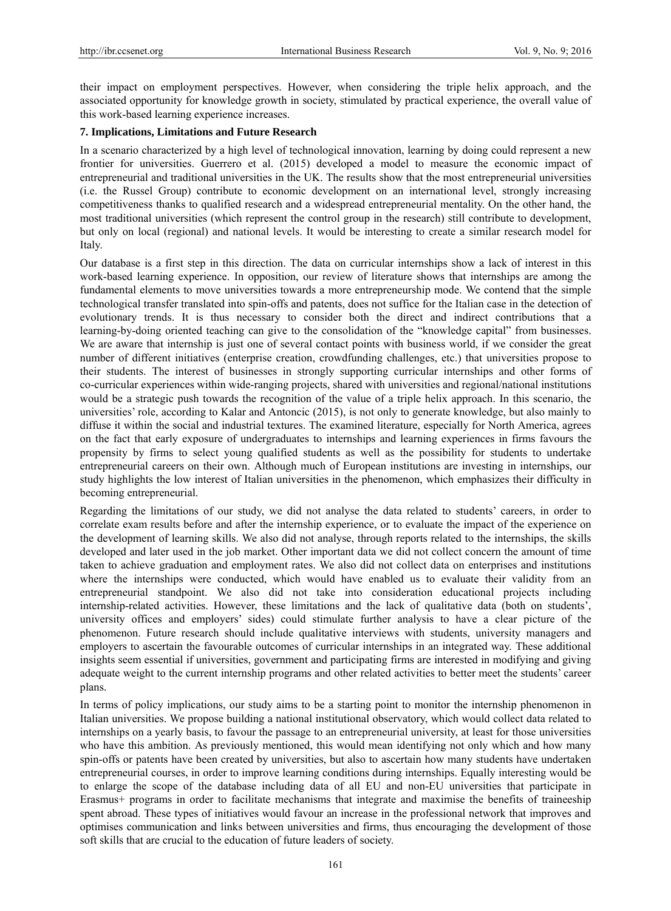their impact on employment perspectives. However, when considering the triple helix approach, and the associated opportunity for knowledge growth in society, stimulated by practical experience, the overall value of this work-based learning experience increases.

# **7. Implications, Limitations and Future Research**

In a scenario characterized by a high level of technological innovation, learning by doing could represent a new frontier for universities. Guerrero et al. (2015) developed a model to measure the economic impact of entrepreneurial and traditional universities in the UK. The results show that the most entrepreneurial universities (i.e. the Russel Group) contribute to economic development on an international level, strongly increasing competitiveness thanks to qualified research and a widespread entrepreneurial mentality. On the other hand, the most traditional universities (which represent the control group in the research) still contribute to development, but only on local (regional) and national levels. It would be interesting to create a similar research model for Italy.

Our database is a first step in this direction. The data on curricular internships show a lack of interest in this work-based learning experience. In opposition, our review of literature shows that internships are among the fundamental elements to move universities towards a more entrepreneurship mode. We contend that the simple technological transfer translated into spin-offs and patents, does not suffice for the Italian case in the detection of evolutionary trends. It is thus necessary to consider both the direct and indirect contributions that a learning-by-doing oriented teaching can give to the consolidation of the "knowledge capital" from businesses. We are aware that internship is just one of several contact points with business world, if we consider the great number of different initiatives (enterprise creation, crowdfunding challenges, etc.) that universities propose to their students. The interest of businesses in strongly supporting curricular internships and other forms of co-curricular experiences within wide-ranging projects, shared with universities and regional/national institutions would be a strategic push towards the recognition of the value of a triple helix approach. In this scenario, the universities' role, according to Kalar and Antoncic (2015), is not only to generate knowledge, but also mainly to diffuse it within the social and industrial textures. The examined literature, especially for North America, agrees on the fact that early exposure of undergraduates to internships and learning experiences in firms favours the propensity by firms to select young qualified students as well as the possibility for students to undertake entrepreneurial careers on their own. Although much of European institutions are investing in internships, our study highlights the low interest of Italian universities in the phenomenon, which emphasizes their difficulty in becoming entrepreneurial.

Regarding the limitations of our study, we did not analyse the data related to students' careers, in order to correlate exam results before and after the internship experience, or to evaluate the impact of the experience on the development of learning skills. We also did not analyse, through reports related to the internships, the skills developed and later used in the job market. Other important data we did not collect concern the amount of time taken to achieve graduation and employment rates. We also did not collect data on enterprises and institutions where the internships were conducted, which would have enabled us to evaluate their validity from an entrepreneurial standpoint. We also did not take into consideration educational projects including internship-related activities. However, these limitations and the lack of qualitative data (both on students', university offices and employers' sides) could stimulate further analysis to have a clear picture of the phenomenon. Future research should include qualitative interviews with students, university managers and employers to ascertain the favourable outcomes of curricular internships in an integrated way. These additional insights seem essential if universities, government and participating firms are interested in modifying and giving adequate weight to the current internship programs and other related activities to better meet the students' career plans.

In terms of policy implications, our study aims to be a starting point to monitor the internship phenomenon in Italian universities. We propose building a national institutional observatory, which would collect data related to internships on a yearly basis, to favour the passage to an entrepreneurial university, at least for those universities who have this ambition. As previously mentioned, this would mean identifying not only which and how many spin-offs or patents have been created by universities, but also to ascertain how many students have undertaken entrepreneurial courses, in order to improve learning conditions during internships. Equally interesting would be to enlarge the scope of the database including data of all EU and non-EU universities that participate in Erasmus+ programs in order to facilitate mechanisms that integrate and maximise the benefits of traineeship spent abroad. These types of initiatives would favour an increase in the professional network that improves and optimises communication and links between universities and firms, thus encouraging the development of those soft skills that are crucial to the education of future leaders of society.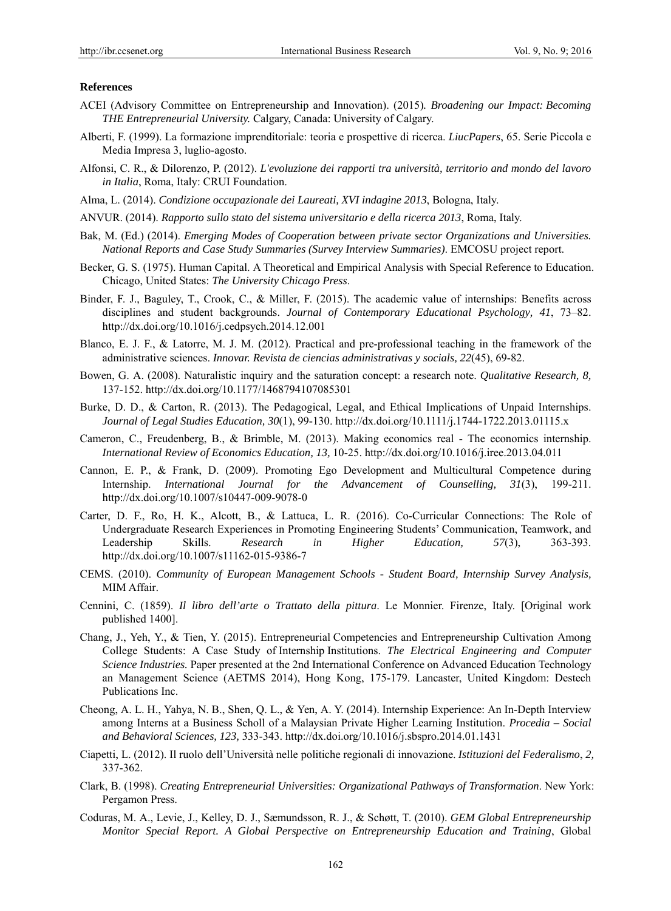#### **References**

- ACEI (Advisory Committee on Entrepreneurship and Innovation). (2015)*. Broadening our Impact: Becoming THE Entrepreneurial University.* Calgary, Canada: University of Calgary.
- Alberti, F. (1999). La formazione imprenditoriale: teoria e prospettive di ricerca. *LiucPapers*, 65. Serie Piccola e Media Impresa 3, luglio-agosto.
- Alfonsi, C. R., & Dilorenzo, P. (2012). *L'evoluzione dei rapporti tra università, territorio and mondo del lavoro in Italia*, Roma, Italy: CRUI Foundation.
- Alma, L. (2014). *Condizione occupazionale dei Laureati, XVI indagine 2013*, Bologna, Italy.
- ANVUR. (2014). *Rapporto sullo stato del sistema universitario e della ricerca 2013*, Roma, Italy.
- Bak, M. (Ed.) (2014). *Emerging Modes of Cooperation between private sector Organizations and Universities. National Reports and Case Study Summaries (Survey Interview Summaries)*. EMCOSU project report.
- Becker, G. S. (1975). Human Capital. A Theoretical and Empirical Analysis with Special Reference to Education. Chicago, United States: *The University Chicago Press*.
- Binder, F. J., Baguley, T., Crook, C., & Miller, F. (2015). The academic value of internships: Benefits across disciplines and student backgrounds. *Journal of Contemporary Educational Psychology, 41*, 73–82. http://dx.doi.org/10.1016/j.cedpsych.2014.12.001
- Blanco, E. J. F., & Latorre, M. J. M. (2012). Practical and pre-professional teaching in the framework of the administrative sciences. *Innovar. Revista de ciencias administrativas y socials, 22*(45), 69-82.
- Bowen, G. A. (2008). Naturalistic inquiry and the saturation concept: a research note. *Qualitative Research, 8,*  137-152. http://dx.doi.org/10.1177/1468794107085301
- Burke, D. D., & Carton, R. (2013). The Pedagogical, Legal, and Ethical Implications of Unpaid Internships. *Journal of Legal Studies Education, 30*(1), 99-130. http://dx.doi.org/10.1111/j.1744-1722.2013.01115.x
- Cameron, C., Freudenberg, B., & Brimble, M. (2013). Making economics real The economics internship. *International Review of Economics Education, 13,* 10-25. http://dx.doi.org/10.1016/j.iree.2013.04.011
- Cannon, E. P., & Frank, D. (2009). Promoting Ego Development and Multicultural Competence during Internship. *International Journal for the Advancement of Counselling, 31*(3), 199-211. http://dx.doi.org/10.1007/s10447-009-9078-0
- Carter, D. F., Ro, H. K., Alcott, B., & Lattuca, L. R. (2016). Co-Curricular Connections: The Role of Undergraduate Research Experiences in Promoting Engineering Students' Communication, Teamwork, and Leadership Skills. *Research in Higher Education, 57*(3), 363-393. http://dx.doi.org/10.1007/s11162-015-9386-7
- CEMS. (2010). *Community of European Management Schools Student Board, Internship Survey Analysis,*  MIM Affair.
- Cennini, C. (1859). *Il libro dell'arte o Trattato della pittura*. Le Monnier. Firenze, Italy. [Original work published 1400].
- Chang, J., Yeh, Y., & Tien, Y. (2015). Entrepreneurial Competencies and Entrepreneurship Cultivation Among College Students: A Case Study of Internship Institutions. *The Electrical Engineering and Computer Science Industries.* Paper presented at the 2nd International Conference on Advanced Education Technology an Management Science (AETMS 2014), Hong Kong, 175-179. Lancaster, United Kingdom: Destech Publications Inc.
- Cheong, A. L. H., Yahya, N. B., Shen, Q. L., & Yen, A. Y. (2014). Internship Experience: An In-Depth Interview among Interns at a Business Scholl of a Malaysian Private Higher Learning Institution. *Procedia – Social and Behavioral Sciences, 123,* 333-343. http://dx.doi.org/10.1016/j.sbspro.2014.01.1431
- Ciapetti, L. (2012). Il ruolo dell'Università nelle politiche regionali di innovazione. *Istituzioni del Federalismo*, *2,* 337-362.
- Clark, B. (1998). *Creating Entrepreneurial Universities: Organizational Pathways of Transformation*. New York: Pergamon Press.
- Coduras, M. A., Levie, J., Kelley, D. J., Sæmundsson, R. J., & Schøtt, T. (2010). *GEM Global Entrepreneurship Monitor Special Report. A Global Perspective on Entrepreneurship Education and Training*, Global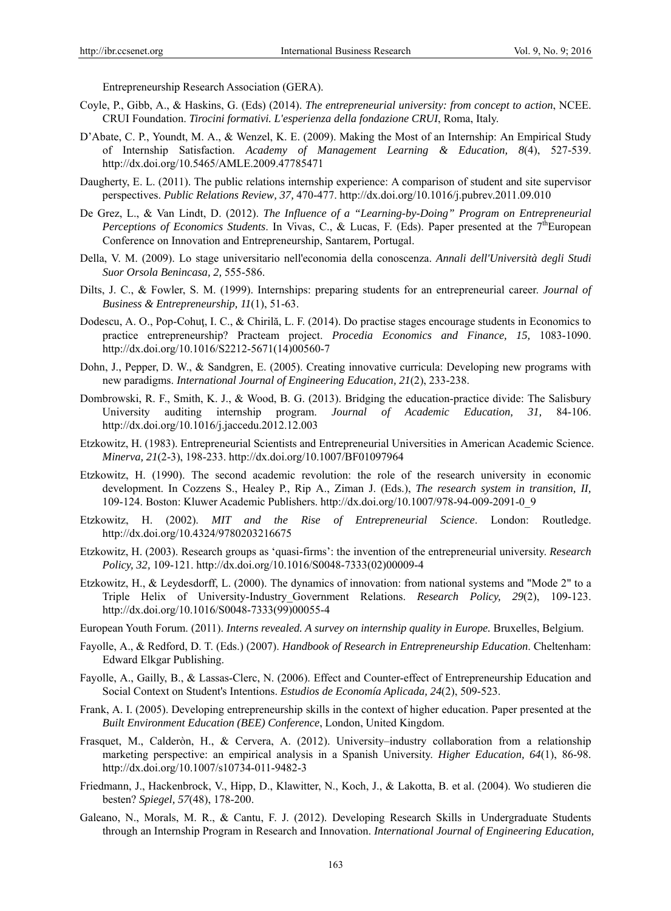Entrepreneurship Research Association (GERA).

- Coyle, P., Gibb, A., & Haskins, G. (Eds) (2014). *The entrepreneurial university: from concept to action*, NCEE. CRUI Foundation. *Tirocini formativi. L'esperienza della fondazione CRUI*, Roma, Italy.
- D'Abate, C. P., Youndt, M. A., & Wenzel, K. E. (2009). Making the Most of an Internship: An Empirical Study of Internship Satisfaction. *Academy of Management Learning & Education, 8*(4), 527-539. http://dx.doi.org/10.5465/AMLE.2009.47785471
- Daugherty, E. L. (2011). The public relations internship experience: A comparison of student and site supervisor perspectives. *Public Relations Review, 37,* 470-477. http://dx.doi.org/10.1016/j.pubrev.2011.09.010
- De Grez, L., & Van Lindt, D. (2012). *The Influence of a "Learning-by-Doing" Program on Entrepreneurial Perceptions of Economics Students*. In Vivas, C., & Lucas, F. (Eds). Paper presented at the  $7<sup>th</sup>European$ Conference on Innovation and Entrepreneurship, Santarem, Portugal.
- Della, V. M. (2009). Lo stage universitario nell'economia della conoscenza. *Annali dell'Università degli Studi Suor Orsola Benincasa, 2,* 555-586.
- Dilts, J. C., & Fowler, S. M. (1999). Internships: preparing students for an entrepreneurial career. *Journal of Business & Entrepreneurship, 11*(1), 51-63.
- Dodescu, A. O., Pop-Cohuț, I. C., & Chirilă, L. F. (2014). Do practise stages encourage students in Economics to practice entrepreneurship? Practeam project. *Procedia Economics and Finance, 15,* 1083-1090. http://dx.doi.org/10.1016/S2212-5671(14)00560-7
- Dohn, J., Pepper, D. W., & Sandgren, E. (2005). Creating innovative curricula: Developing new programs with new paradigms. *International Journal of Engineering Education, 21*(2), 233-238.
- Dombrowski, R. F., Smith, K. J., & Wood, B. G. (2013). Bridging the education-practice divide: The Salisbury University auditing internship program. *Journal of Academic Education, 31,* 84-106. http://dx.doi.org/10.1016/j.jaccedu.2012.12.003
- Etzkowitz, H. (1983). Entrepreneurial Scientists and Entrepreneurial Universities in American Academic Science. *Minerva, 21*(2-3), 198-233. http://dx.doi.org/10.1007/BF01097964
- Etzkowitz, H. (1990). The second academic revolution: the role of the research university in economic development. In Cozzens S., Healey P., Rip A., Ziman J. (Eds.), *The research system in transition, II,*  109-124. Boston: Kluwer Academic Publishers. http://dx.doi.org/10.1007/978-94-009-2091-0\_9
- Etzkowitz, H. (2002). *MIT and the Rise of Entrepreneurial Science*. London: Routledge. http://dx.doi.org/10.4324/9780203216675
- Etzkowitz, H. (2003). Research groups as 'quasi-firms': the invention of the entrepreneurial university. *Research Policy, 32,* 109-121. http://dx.doi.org/10.1016/S0048-7333(02)00009-4
- Etzkowitz, H., & Leydesdorff, L. (2000). The dynamics of innovation: from national systems and "Mode 2" to a Triple Helix of University-Industry\_Government Relations. *Research Policy, 29*(2), 109-123. http://dx.doi.org/10.1016/S0048-7333(99)00055-4
- European Youth Forum. (2011). *Interns revealed. A survey on internship quality in Europe.* Bruxelles, Belgium.
- Fayolle, A., & Redford, D. T. (Eds.) (2007). *Handbook of Research in Entrepreneurship Education*. Cheltenham: Edward Elkgar Publishing.
- Fayolle, A., Gailly, B., & Lassas-Clerc, N. (2006). Effect and Counter-effect of Entrepreneurship Education and Social Context on Student's Intentions. *Estudios de Economía Aplicada, 24*(2), 509-523.
- Frank, A. I. (2005). Developing entrepreneurship skills in the context of higher education. Paper presented at the *Built Environment Education (BEE) Conference*, London, United Kingdom.
- Frasquet, M., Calderòn, H., & Cervera, A. (2012). University–industry collaboration from a relationship marketing perspective: an empirical analysis in a Spanish University. *Higher Education, 64*(1), 86-98. http://dx.doi.org/10.1007/s10734-011-9482-3
- Friedmann, J., Hackenbrock, V., Hipp, D., Klawitter, N., Koch, J., & Lakotta, B. et al. (2004). Wo studieren die besten? *Spiegel, 57*(48), 178-200.
- Galeano, N., Morals, M. R., & Cantu, F. J. (2012). Developing Research Skills in Undergraduate Students through an Internship Program in Research and Innovation. *International Journal of Engineering Education,*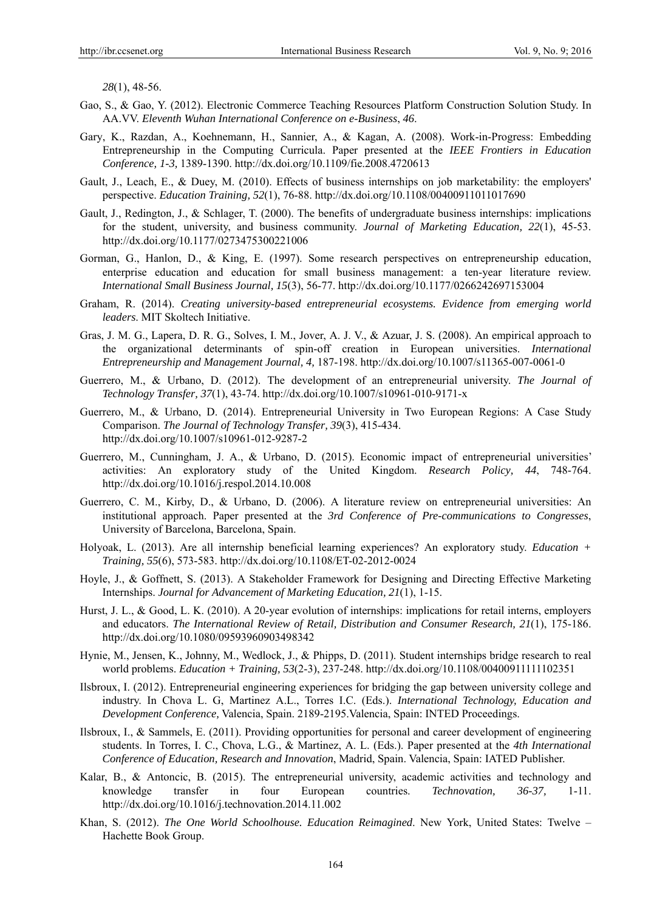*28*(1), 48-56.

- Gao, S., & Gao, Y. (2012). Electronic Commerce Teaching Resources Platform Construction Solution Study. In AA.VV. *Eleventh Wuhan International Conference on e-Business*, *46*.
- Gary, K., Razdan, A., Koehnemann, H., Sannier, A., & Kagan, A. (2008). Work-in-Progress: Embedding Entrepreneurship in the Computing Curricula. Paper presented at the *IEEE Frontiers in Education Conference, 1-3,* 1389-1390. http://dx.doi.org/10.1109/fie.2008.4720613
- Gault, J., Leach, E., & Duey, M. (2010). Effects of business internships on job marketability: the employers' perspective. *Education Training, 52*(1), 76-88. http://dx.doi.org/10.1108/00400911011017690
- Gault, J., Redington, J., & Schlager, T. (2000). The benefits of undergraduate business internships: implications for the student, university, and business community. *Journal of Marketing Education, 22*(1), 45-53. http://dx.doi.org/10.1177/0273475300221006
- Gorman, G., Hanlon, D., & King, E. (1997). Some research perspectives on entrepreneurship education, enterprise education and education for small business management: a ten-year literature review. *International Small Business Journal, 15*(3), 56-77. http://dx.doi.org/10.1177/0266242697153004
- Graham, R. (2014). *Creating university-based entrepreneurial ecosystems. Evidence from emerging world leaders*. MIT Skoltech Initiative.
- Gras, J. M. G., Lapera, D. R. G., Solves, I. M., Jover, A. J. V., & Azuar, J. S. (2008). An empirical approach to the organizational determinants of spin-off creation in European universities. *International Entrepreneurship and Management Journal, 4,* 187-198. http://dx.doi.org/10.1007/s11365-007-0061-0
- Guerrero, M., & Urbano, D. (2012). The development of an entrepreneurial university. *The Journal of Technology Transfer, 37*(1), 43-74. http://dx.doi.org/10.1007/s10961-010-9171-x
- Guerrero, M., & Urbano, D. (2014). Entrepreneurial University in Two European Regions: A Case Study Comparison. *The Journal of Technology Transfer, 39*(3), 415-434. http://dx.doi.org/10.1007/s10961-012-9287-2
- Guerrero, M., Cunningham, J. A., & Urbano, D. (2015). Economic impact of entrepreneurial universities' activities: An exploratory study of the United Kingdom. *Research Policy, 44*, 748-764. http://dx.doi.org/10.1016/j.respol.2014.10.008
- Guerrero, C. M., Kirby, D., & Urbano, D. (2006). A literature review on entrepreneurial universities: An institutional approach. Paper presented at the *3rd Conference of Pre-communications to Congresses*, University of Barcelona, Barcelona, Spain.
- Holyoak, L. (2013). Are all internship beneficial learning experiences? An exploratory study. *Education + Training, 55*(6), 573-583. http://dx.doi.org/10.1108/ET-02-2012-0024
- Hoyle, J., & Goffnett, S. (2013). A Stakeholder Framework for Designing and Directing Effective Marketing Internships. *Journal for Advancement of Marketing Education, 21*(1), 1-15.
- Hurst, J. L., & Good, L. K. (2010). A 20-year evolution of internships: implications for retail interns, employers and educators. *The International Review of Retail, Distribution and Consumer Research, 21*(1), 175-186. http://dx.doi.org/10.1080/09593960903498342
- Hynie, M., Jensen, K., Johnny, M., Wedlock, J., & Phipps, D. (2011). Student internships bridge research to real world problems. *Education + Training, 53*(2-3), 237-248. http://dx.doi.org/10.1108/00400911111102351
- Ilsbroux, I. (2012). Entrepreneurial engineering experiences for bridging the gap between university college and industry. In Chova L. G, Martinez A.L., Torres I.C. (Eds.). *International Technology, Education and Development Conference,* Valencia, Spain. 2189-2195.Valencia, Spain: INTED Proceedings.
- Ilsbroux, I., & Sammels, E. (2011). Providing opportunities for personal and career development of engineering students. In Torres, I. C., Chova, L.G., & Martinez, A. L. (Eds.). Paper presented at the *4th International Conference of Education, Research and Innovation*, Madrid, Spain. Valencia, Spain: IATED Publisher.
- Kalar, B., & Antoncic, B. (2015). The entrepreneurial university, academic activities and technology and knowledge transfer in four European countries. *Technovation, 36-37,* 1-11. http://dx.doi.org/10.1016/j.technovation.2014.11.002
- Khan, S. (2012). *The One World Schoolhouse. Education Reimagined*. New York, United States: Twelve Hachette Book Group.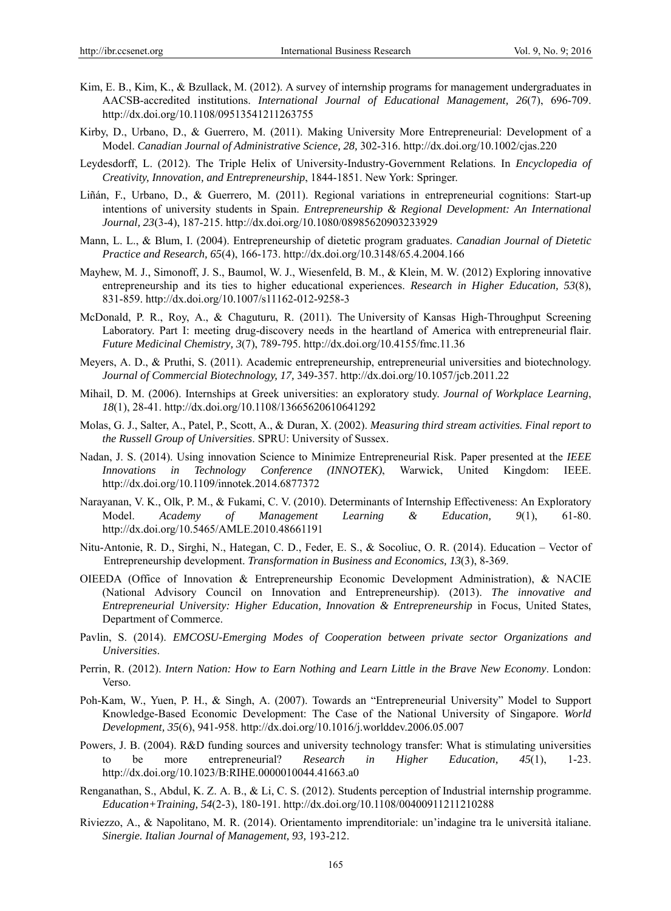- Kim, E. B., Kim, K., & Bzullack, M. (2012). A survey of internship programs for management undergraduates in AACSB-accredited institutions. *International Journal of Educational Management, 26*(7), 696-709. http://dx.doi.org/10.1108/09513541211263755
- Kirby, D., Urbano, D., & Guerrero, M. (2011). Making University More Entrepreneurial: Development of a Model. *Canadian Journal of Administrative Science, 28,* 302-316. http://dx.doi.org/10.1002/cjas.220
- Leydesdorff, L. (2012). The Triple Helix of University-Industry-Government Relations. In *Encyclopedia of Creativity, Innovation, and Entrepreneurship*, 1844-1851. New York: Springer.
- Liñán, F., Urbano, D., & Guerrero, M. (2011). Regional variations in entrepreneurial cognitions: Start-up intentions of university students in Spain. *Entrepreneurship & Regional Development: An International Journal, 23*(3-4), 187-215. http://dx.doi.org/10.1080/08985620903233929
- Mann, L. L., & Blum, I. (2004). Entrepreneurship of dietetic program graduates. *Canadian Journal of Dietetic Practice and Research, 65*(4), 166-173. http://dx.doi.org/10.3148/65.4.2004.166
- Mayhew, M. J., Simonoff, J. S., Baumol, W. J., Wiesenfeld, B. M., & Klein, M. W. (2012) Exploring innovative entrepreneurship and its ties to higher educational experiences. *Research in Higher Education, 53*(8), 831-859. http://dx.doi.org/10.1007/s11162-012-9258-3
- McDonald, P. R., Roy, A., & Chaguturu, R. (2011)*.* The University of Kansas High-Throughput Screening Laboratory. Part I: meeting drug-discovery needs in the heartland of America with entrepreneurial flair. *Future Medicinal Chemistry, 3*(7), 789-795. http://dx.doi.org/10.4155/fmc.11.36
- Meyers, A. D., & Pruthi, S. (2011). Academic entrepreneurship, entrepreneurial universities and biotechnology. *Journal of Commercial Biotechnology, 17,* 349-357. http://dx.doi.org/10.1057/jcb.2011.22
- Mihail, D. M. (2006). Internships at Greek universities: an exploratory study. *Journal of Workplace Learning*, *18*(1), 28-41. http://dx.doi.org/10.1108/13665620610641292
- Molas, G. J., Salter, A., Patel, P., Scott, A., & Duran, X. (2002). *Measuring third stream activities. Final report to the Russell Group of Universities*. SPRU: University of Sussex.
- Nadan, J. S. (2014). Using innovation Science to Minimize Entrepreneurial Risk. Paper presented at the *IEEE Innovations in Technology Conference (INNOTEK)*, Warwick, United Kingdom: IEEE. http://dx.doi.org/10.1109/innotek.2014.6877372
- Narayanan, V. K., Olk, P. M., & Fukami, C. V. (2010). Determinants of Internship Effectiveness: An Exploratory Model. *Academy of Management Learning & Education, 9*(1), 61-80. http://dx.doi.org/10.5465/AMLE.2010.48661191
- Nitu-Antonie, R. D., Sirghi, N., Hategan, C. D., Feder, E. S., & Socoliuc, O. R. (2014). Education Vector of Entrepreneurship development. *Transformation in Business and Economics, 13*(3), 8-369.
- OIEEDA (Office of Innovation & Entrepreneurship Economic Development Administration), & NACIE (National Advisory Council on Innovation and Entrepreneurship). (2013). *The innovative and Entrepreneurial University: Higher Education, Innovation & Entrepreneurship* in Focus, United States, Department of Commerce.
- Pavlin, S. (2014). *EMCOSU-Emerging Modes of Cooperation between private sector Organizations and Universities*.
- Perrin, R. (2012). *Intern Nation: How to Earn Nothing and Learn Little in the Brave New Economy*. London: Verso.
- Poh-Kam, W., Yuen, P. H., & Singh, A. (2007). Towards an "Entrepreneurial University" Model to Support Knowledge-Based Economic Development: The Case of the National University of Singapore. *World Development, 35*(6), 941-958. http://dx.doi.org/10.1016/j.worlddev.2006.05.007
- Powers, J. B. (2004). R&D funding sources and university technology transfer: What is stimulating universities to be more entrepreneurial? *Research in Higher Education, 45*(1), 1-23. http://dx.doi.org/10.1023/B:RIHE.0000010044.41663.a0
- Renganathan, S., Abdul, K. Z. A. B., & Li, C. S. (2012). Students perception of Industrial internship programme. *Education+Training, 54*(2-3), 180-191. http://dx.doi.org/10.1108/00400911211210288
- Riviezzo, A., & Napolitano, M. R. (2014). Orientamento imprenditoriale: un'indagine tra le università italiane. *Sinergie. Italian Journal of Management, 93,* 193-212.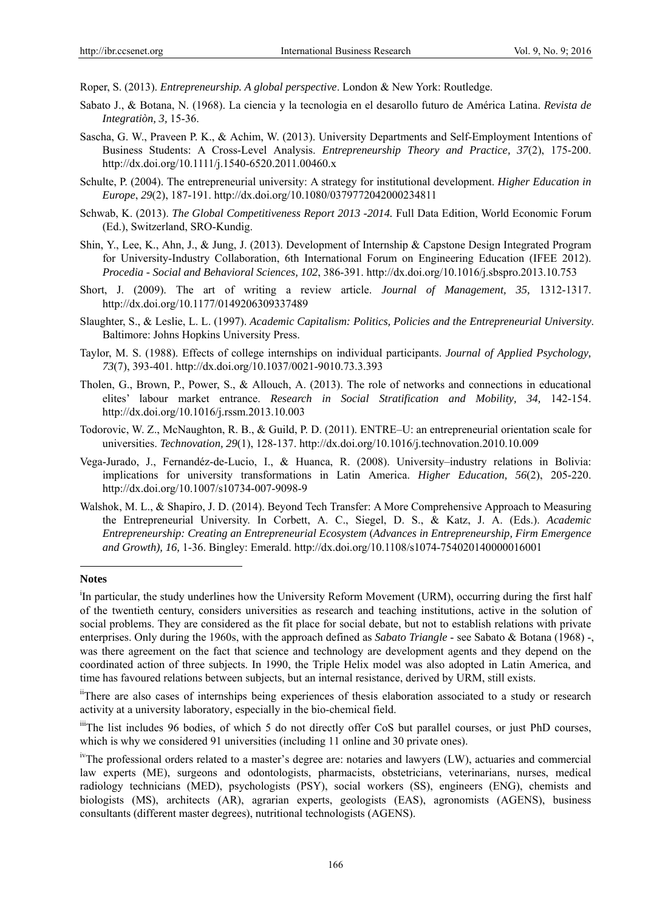Roper, S. (2013). *Entrepreneurship. A global perspective*. London & New York: Routledge.

- Sabato J., & Botana, N. (1968). La ciencia y la tecnologia en el desarollo futuro de América Latina. *Revista de Integratiòn, 3,* 15-36.
- Sascha, G. W., Praveen P. K., & Achim, W. (2013). University Departments and Self-Employment Intentions of Business Students: A Cross-Level Analysis. *Entrepreneurship Theory and Practice, 37*(2), 175-200. http://dx.doi.org/10.1111/j.1540-6520.2011.00460.x
- Schulte, P. (2004). The entrepreneurial university: A strategy for institutional development. *Higher Education in Europe*, *29*(2), 187-191. http://dx.doi.org/10.1080/0379772042000234811
- Schwab, K. (2013). *The Global Competitiveness Report 2013 -2014.* Full Data Edition, World Economic Forum (Ed.), Switzerland, SRO-Kundig.
- Shin, Y., Lee, K., Ahn, J., & Jung, J. (2013). Development of Internship & Capstone Design Integrated Program for University-Industry Collaboration, 6th International Forum on Engineering Education (IFEE 2012). *Procedia - Social and Behavioral Sciences, 102*, 386-391. http://dx.doi.org/10.1016/j.sbspro.2013.10.753
- Short, J. (2009). The art of writing a review article. *Journal of Management, 35,* 1312-1317. http://dx.doi.org/10.1177/0149206309337489
- Slaughter, S., & Leslie, L. L. (1997). *Academic Capitalism: Politics, Policies and the Entrepreneurial University*. Baltimore: Johns Hopkins University Press.
- Taylor, M. S. (1988). Effects of college internships on individual participants. *Journal of Applied Psychology, 73*(7), 393-401. http://dx.doi.org/10.1037/0021-9010.73.3.393
- Tholen, G., Brown, P., Power, S., & Allouch, A. (2013). The role of networks and connections in educational elites' labour market entrance. *Research in Social Stratification and Mobility, 34,* 142-154. http://dx.doi.org/10.1016/j.rssm.2013.10.003
- Todorovic, W. Z., McNaughton, R. B., & Guild, P. D. (2011). ENTRE–U: an entrepreneurial orientation scale for universities. *Technovation, 29*(1), 128-137. http://dx.doi.org/10.1016/j.technovation.2010.10.009
- Vega-Jurado, J., Fernandéz-de-Lucio, I., & Huanca, R. (2008). University–industry relations in Bolivia: implications for university transformations in Latin America. *Higher Education, 56*(2), 205-220. http://dx.doi.org/10.1007/s10734-007-9098-9
- Walshok, M. L., & Shapiro, J. D. (2014). Beyond Tech Transfer: A More Comprehensive Approach to Measuring the Entrepreneurial University. In Corbett, A. C., Siegel, D. S., & Katz, J. A. (Eds.). *Academic Entrepreneurship: Creating an Entrepreneurial Ecosystem* (*Advances in Entrepreneurship, Firm Emergence and Growth), 16,* 1-36. Bingley: Emerald. http://dx.doi.org/10.1108/s1074-754020140000016001

#### **Notes**

 $\overline{a}$ 

<sup>i</sup>In particular, the study underlines how the University Reform Movement (URM), occurring during the first half of the twentieth century, considers universities as research and teaching institutions, active in the solution of social problems. They are considered as the fit place for social debate, but not to establish relations with private enterprises. Only during the 1960s, with the approach defined as *Sabato Triangle* - see Sabato & Botana (1968) -, was there agreement on the fact that science and technology are development agents and they depend on the coordinated action of three subjects. In 1990, the Triple Helix model was also adopted in Latin America, and time has favoured relations between subjects, but an internal resistance, derived by URM, still exists.

iiThere are also cases of internships being experiences of thesis elaboration associated to a study or research activity at a university laboratory, especially in the bio-chemical field.

iiiThe list includes 96 bodies, of which 5 do not directly offer CoS but parallel courses, or just PhD courses, which is why we considered 91 universities (including 11 online and 30 private ones).

ivThe professional orders related to a master's degree are: notaries and lawyers (LW), actuaries and commercial law experts (ME), surgeons and odontologists, pharmacists, obstetricians, veterinarians, nurses, medical radiology technicians (MED), psychologists (PSY), social workers (SS), engineers (ENG), chemists and biologists (MS), architects (AR), agrarian experts, geologists (EAS), agronomists (AGENS), business consultants (different master degrees), nutritional technologists (AGENS).